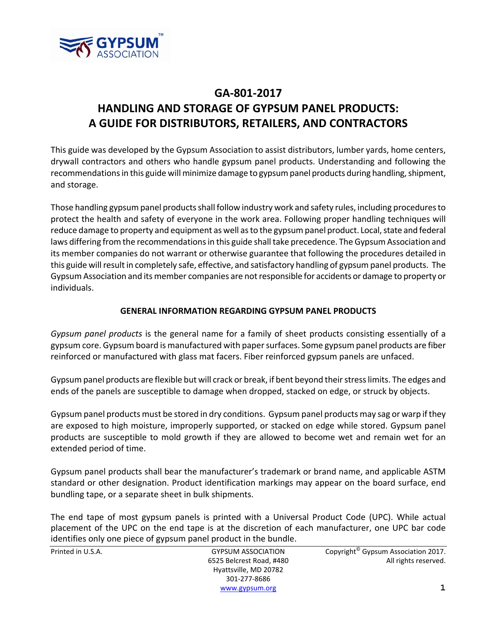

This guide was developed by the Gypsum Association to assist distributors, lumber yards, home centers, drywall contractors and others who handle gypsum panel products. Understanding and following the recommendations in this guide will minimize damage to gypsum panel products during handling, shipment, and storage.

Those handling gypsum panel products shall follow industry work and safety rules, including procedures to protect the health and safety of everyone in the work area. Following proper handling techniques will reduce damage to property and equipment as well as to the gypsum panel product. Local, state and federal laws differing from the recommendations in this guide shall take precedence. The Gypsum Association and its member companies do not warrant or otherwise guarantee that following the procedures detailed in this guide will result in completely safe, effective, and satisfactory handling of gypsum panel products. The Gypsum Association and its member companies are not responsible for accidents or damage to property or individuals.

# **GENERAL INFORMATION REGARDING GYPSUM PANEL PRODUCTS**

*Gypsum panel products* is the general name for a family of sheet products consisting essentially of a gypsum core. Gypsum board is manufactured with papersurfaces. Some gypsum panel products are fiber reinforced or manufactured with glass mat facers. Fiber reinforced gypsum panels are unfaced.

Gypsum panel products are flexible but will crack or break, if bent beyond their stress limits. The edges and ends of the panels are susceptible to damage when dropped, stacked on edge, or struck by objects.

Gypsum panel products must be stored in dry conditions. Gypsum panel products may sag or warp ifthey are exposed to high moisture, improperly supported, or stacked on edge while stored. Gypsum panel products are susceptible to mold growth if they are allowed to become wet and remain wet for an extended period of time.

Gypsum panel products shall bear the manufacturer's trademark or brand name, and applicable ASTM standard or other designation. Product identification markings may appear on the board surface, end bundling tape, or a separate sheet in bulk shipments.

The end tape of most gypsum panels is printed with a Universal Product Code (UPC). While actual placement of the UPC on the end tape is at the discretion of each manufacturer, one UPC bar code identifies only one piece of gypsum panel product in the bundle.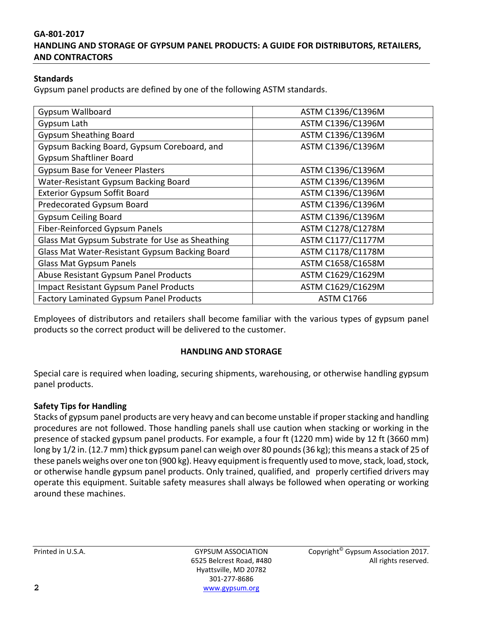### **Standards**

Gypsum panel products are defined by one of the following ASTM standards.

| <b>Gypsum Wallboard</b>                         | ASTM C1396/C1396M |
|-------------------------------------------------|-------------------|
| Gypsum Lath                                     | ASTM C1396/C1396M |
| <b>Gypsum Sheathing Board</b>                   | ASTM C1396/C1396M |
| Gypsum Backing Board, Gypsum Coreboard, and     | ASTM C1396/C1396M |
| <b>Gypsum Shaftliner Board</b>                  |                   |
| <b>Gypsum Base for Veneer Plasters</b>          | ASTM C1396/C1396M |
| Water-Resistant Gypsum Backing Board            | ASTM C1396/C1396M |
| <b>Exterior Gypsum Soffit Board</b>             | ASTM C1396/C1396M |
| Predecorated Gypsum Board                       | ASTM C1396/C1396M |
| <b>Gypsum Ceiling Board</b>                     | ASTM C1396/C1396M |
| Fiber-Reinforced Gypsum Panels                  | ASTM C1278/C1278M |
| Glass Mat Gypsum Substrate for Use as Sheathing | ASTM C1177/C1177M |
| Glass Mat Water-Resistant Gypsum Backing Board  | ASTM C1178/C1178M |
| <b>Glass Mat Gypsum Panels</b>                  | ASTM C1658/C1658M |
| Abuse Resistant Gypsum Panel Products           | ASTM C1629/C1629M |
| <b>Impact Resistant Gypsum Panel Products</b>   | ASTM C1629/C1629M |
| Factory Laminated Gypsum Panel Products         | <b>ASTM C1766</b> |

Employees of distributors and retailers shall become familiar with the various types of gypsum panel products so the correct product will be delivered to the customer.

#### **HANDLING AND STORAGE**

Special care is required when loading, securing shipments, warehousing, or otherwise handling gypsum panel products.

# **Safety Tips for Handling**

Stacks of gypsum panel products are very heavy and can become unstable if properstacking and handling procedures are not followed. Those handling panels shall use caution when stacking or working in the presence of stacked gypsum panel products. For example, a four ft (1220 mm) wide by 12 ft (3660 mm) long by 1/2 in. (12.7 mm) thick gypsum panel can weigh over 80 pounds (36 kg); this means a stack of 25 of these panels weighs over one ton (900 kg). Heavy equipment is frequently used to move, stack, load, stock, or otherwise handle gypsum panel products. Only trained, qualified, and properly certified drivers may operate this equipment. Suitable safety measures shall always be followed when operating or working around these machines.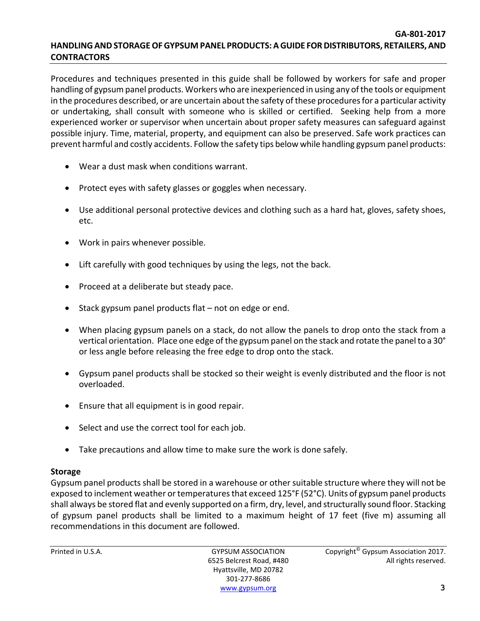Procedures and techniques presented in this guide shall be followed by workers for safe and proper handling of gypsum panel products. Workers who are inexperienced in using any of the tools or equipment in the procedures described, or are uncertain about the safety of these proceduresfor a particular activity or undertaking, shall consult with someone who is skilled or certified. Seeking help from a more experienced worker or supervisor when uncertain about proper safety measures can safeguard against possible injury. Time, material, property, and equipment can also be preserved. Safe work practices can prevent harmful and costly accidents. Follow the safety tips below while handling gypsum panel products:

- Wear a dust mask when conditions warrant.
- Protect eyes with safety glasses or goggles when necessary.
- Use additional personal protective devices and clothing such as a hard hat, gloves, safety shoes, etc.
- Work in pairs whenever possible.
- Lift carefully with good techniques by using the legs, not the back.
- Proceed at a deliberate but steady pace.
- $\bullet$  Stack gypsum panel products flat not on edge or end.
- When placing gypsum panels on a stack, do not allow the panels to drop onto the stack from a vertical orientation. Place one edge of the gypsum panel on the stack and rotate the panelto a 30° or less angle before releasing the free edge to drop onto the stack.
- Gypsum panel products shall be stocked so their weight is evenly distributed and the floor is not overloaded.
- Ensure that all equipment is in good repair.
- Select and use the correct tool for each job.
- Take precautions and allow time to make sure the work is done safely.

# **Storage**

Gypsum panel products shall be stored in a warehouse or other suitable structure where they will not be exposed to inclement weather or temperatures that exceed 125°F (52°C). Units of gypsum panel products shall always be stored flat and evenly supported on a firm, dry, level, and structurally sound floor. Stacking of gypsum panel products shall be limited to a maximum height of 17 feet (five m) assuming all recommendations in this document are followed.

Hyattsville, MD 20782 301‐277‐8686 www.gypsum.org **3**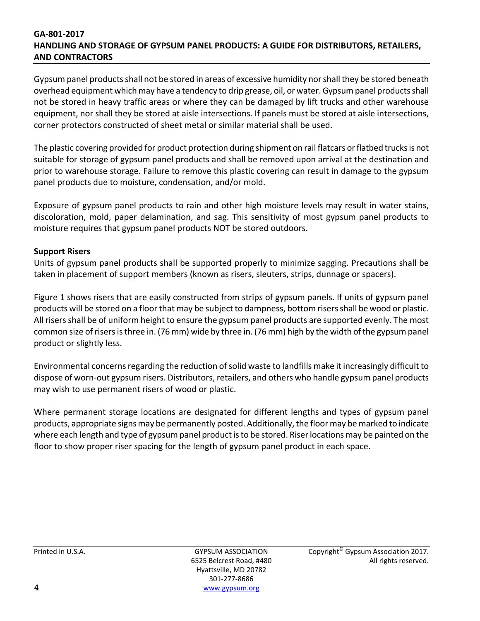Gypsum panel products shall not be stored in areas of excessive humidity nor shall they be stored beneath overhead equipment which may have a tendency to drip grease, oil, or water.Gypsumpanel productsshall not be stored in heavy traffic areas or where they can be damaged by lift trucks and other warehouse equipment, nor shall they be stored at aisle intersections. If panels must be stored at aisle intersections, corner protectors constructed of sheet metal or similar material shall be used.

The plastic covering provided for product protection during shipment on rail flatcars or flatbed trucks is not suitable for storage of gypsum panel products and shall be removed upon arrival at the destination and prior to warehouse storage. Failure to remove this plastic covering can result in damage to the gypsum panel products due to moisture, condensation, and/or mold.

Exposure of gypsum panel products to rain and other high moisture levels may result in water stains, discoloration, mold, paper delamination, and sag. This sensitivity of most gypsum panel products to moisture requires that gypsum panel products NOT be stored outdoors.

# **Support Risers**

Units of gypsum panel products shall be supported properly to minimize sagging. Precautions shall be taken in placement of support members (known as risers, sleuters, strips, dunnage or spacers).

Figure 1 shows risers that are easily constructed from strips of gypsum panels. If units of gypsum panel products will be stored on a floorthat may be subject to dampness, bottom risersshall be wood or plastic. All risers shall be of uniform height to ensure the gypsum panel products are supported evenly. The most common size of risers is three in. (76 mm) wide by three in. (76 mm) high by the width of the gypsum panel product or slightly less.

Environmental concerns regarding the reduction of solid waste to landfills make it increasingly difficult to dispose of worn‐out gypsum risers. Distributors, retailers, and others who handle gypsum panel products may wish to use permanent risers of wood or plastic.

Where permanent storage locations are designated for different lengths and types of gypsum panel products, appropriate signs may be permanently posted. Additionally, the floor may be marked to indicate where each length and type of gypsum panel product is to be stored. Riser locations may be painted on the floor to show proper riser spacing for the length of gypsum panel product in each space.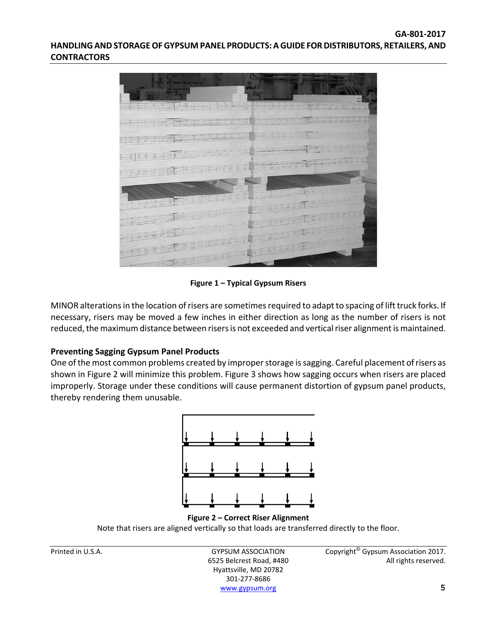

**Figure 1 – Typical Gypsum Risers**

MINOR alterations in the location of risers are sometimes required to adapt to spacing of lift truck forks. If necessary, risers may be moved a few inches in either direction as long as the number of risers is not reduced, the maximum distance between risers is not exceeded and vertical riser alignment is maintained.

# **Preventing Sagging Gypsum Panel Products**

One of the most common problems created by improper storage is sagging. Careful placement of risers as shown in Figure 2 will minimize this problem. Figure 3 shows how sagging occurs when risers are placed improperly. Storage under these conditions will cause permanent distortion of gypsum panel products, thereby rendering them unusable.



Note that risers are aligned vertically so that loads are transferred directly to the floor.

Hyattsville, MD 20782 301‐277‐8686 www.gypsum.org **5**

Printed in U.S.A. **GYPSUM ASSOCIATION** Copyright<sup>©</sup> Gypsum Association 2017. 6525 Belcrest Road, #480 All rights reserved.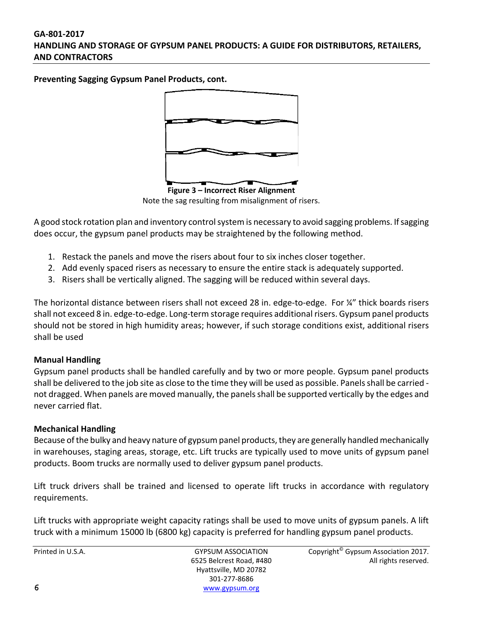**Preventing Sagging Gypsum Panel Products, cont.**



Note the sag resulting from misalignment of risers.

A good stock rotation plan and inventory control system is necessary to avoid sagging problems. If sagging does occur, the gypsum panel products may be straightened by the following method.

- 1. Restack the panels and move the risers about four to six inches closer together.
- 2. Add evenly spaced risers as necessary to ensure the entire stack is adequately supported.
- 3. Risers shall be vertically aligned. The sagging will be reduced within several days.

The horizontal distance between risers shall not exceed 28 in. edge-to-edge. For ¼" thick boards risers shall not exceed 8 in. edge‐to‐edge. Long‐term storage requires additional risers. Gypsum panel products should not be stored in high humidity areas; however, if such storage conditions exist, additional risers shall be used

# **Manual Handling**

Gypsum panel products shall be handled carefully and by two or more people. Gypsum panel products shall be delivered to the job site as close to the time they will be used as possible. Panels shall be carried not dragged. When panels are moved manually, the panelsshall be supported vertically by the edges and never carried flat.

# **Mechanical Handling**

Because of the bulky and heavy nature of gypsum panel products, they are generally handled mechanically in warehouses, staging areas, storage, etc. Lift trucks are typically used to move units of gypsum panel products. Boom trucks are normally used to deliver gypsum panel products.

Lift truck drivers shall be trained and licensed to operate lift trucks in accordance with regulatory requirements.

Lift trucks with appropriate weight capacity ratings shall be used to move units of gypsum panels. A lift truck with a minimum 15000 lb (6800 kg) capacity is preferred for handling gypsum panel products.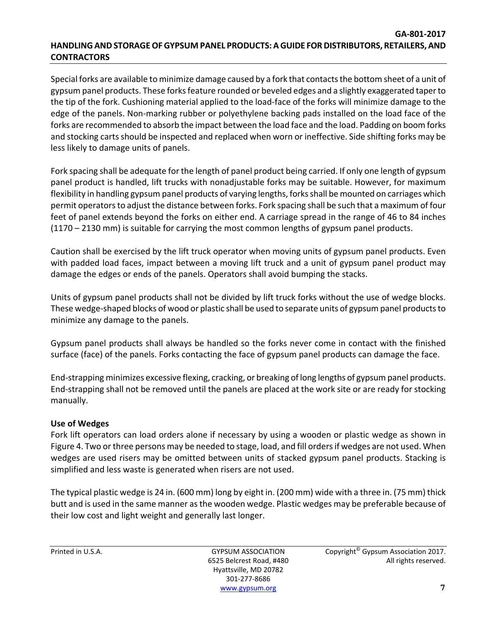Special forks are available to minimize damage caused by a fork that contactsthe bottom sheet of a unit of gypsum panel products. These forks feature rounded or beveled edges and a slightly exaggerated taper to the tip of the fork. Cushioning material applied to the load‐face of the forks will minimize damage to the edge of the panels. Non‐marking rubber or polyethylene backing pads installed on the load face of the forks are recommended to absorb the impact between the load face and the load. Padding on boom forks and stocking carts should be inspected and replaced when worn or ineffective. Side shifting forks may be less likely to damage units of panels.

Fork spacing shall be adequate for the length of panel product being carried. If only one length of gypsum panel product is handled, lift trucks with nonadjustable forks may be suitable. However, for maximum flexibility in handling gypsum panel products of varying lengths, forks shall be mounted on carriages which permit operators to adjust the distance between forks. Fork spacing shall be such that a maximum of four feet of panel extends beyond the forks on either end. A carriage spread in the range of 46 to 84 inches (1170 – 2130 mm) is suitable for carrying the most common lengths of gypsum panel products.

Caution shall be exercised by the lift truck operator when moving units of gypsum panel products. Even with padded load faces, impact between a moving lift truck and a unit of gypsum panel product may damage the edges or ends of the panels. Operators shall avoid bumping the stacks.

Units of gypsum panel products shall not be divided by lift truck forks without the use of wedge blocks. These wedge-shaped blocks of wood or plastic shall be used to separate units of gypsum panel products to minimize any damage to the panels.

Gypsum panel products shall always be handled so the forks never come in contact with the finished surface (face) of the panels. Forks contacting the face of gypsum panel products can damage the face.

End‐strapping minimizes excessive flexing, cracking, or breaking of long lengths of gypsum panel products. End‐strapping shall not be removed until the panels are placed at the work site or are ready for stocking manually.

# **Use of Wedges**

Fork lift operators can load orders alone if necessary by using a wooden or plastic wedge as shown in Figure 4. Two or three persons may be needed to stage, load, and fill ordersif wedges are not used. When wedges are used risers may be omitted between units of stacked gypsum panel products. Stacking is simplified and less waste is generated when risers are not used.

The typical plastic wedge is 24 in. (600 mm) long by eight in. (200 mm) wide with a three in. (75 mm) thick butt and is used in the same manner as the wooden wedge. Plastic wedges may be preferable because of their low cost and light weight and generally last longer.

Hyattsville, MD 20782 301‐277‐8686 www.gypsum.org **7**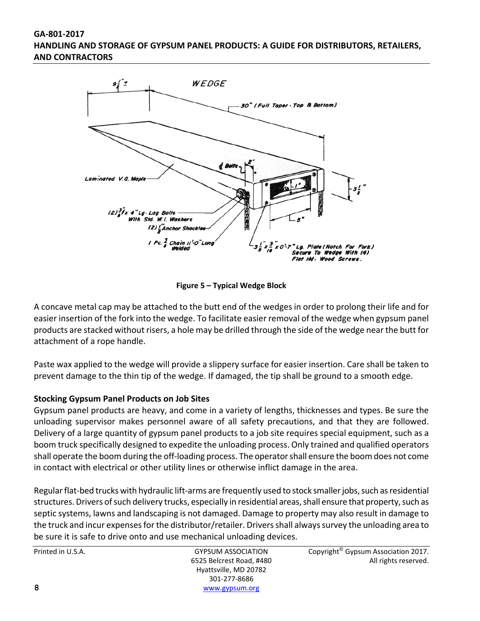

**Figure 5 – Typical Wedge Block**

A concave metal cap may be attached to the butt end of the wedges in order to prolong their life and for easier insertion of the fork into the wedge. To facilitate easier removal of the wedge when gypsum panel products are stacked without risers, a hole may be drilled through the side of the wedge near the butt for attachment of a rope handle.

Paste wax applied to the wedge will provide a slippery surface for easier insertion. Care shall be taken to prevent damage to the thin tip of the wedge. If damaged, the tip shall be ground to a smooth edge.

# **Stocking Gypsum Panel Products on Job Sites**

Gypsum panel products are heavy, and come in a variety of lengths, thicknesses and types. Be sure the unloading supervisor makes personnel aware of all safety precautions, and that they are followed. Delivery of a large quantity of gypsum panel products to a job site requires special equipment, such as a boom truck specifically designed to expedite the unloading process. Only trained and qualified operators shall operate the boom during the off‐loading process. The operatorshall ensure the boom does not come in contact with electrical or other utility lines or otherwise inflict damage in the area.

Regular flat-bed trucks with hydraulic lift-arms are frequently used to stock smaller jobs, such as residential structures. Drivers of such delivery trucks, especially in residential areas, shall ensure that property, such as septic systems, lawns and landscaping is not damaged. Damage to property may also result in damage to the truck and incur expensesforthe distributor/retailer. Driversshall alwayssurvey the unloading area to be sure it is safe to drive onto and use mechanical unloading devices.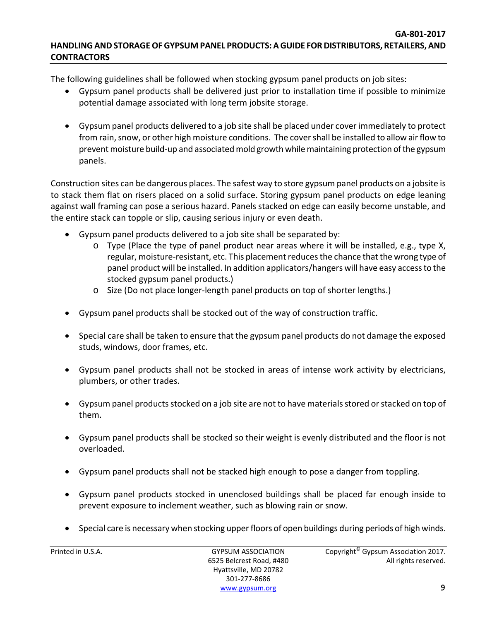The following guidelines shall be followed when stocking gypsum panel products on job sites:

- Gypsum panel products shall be delivered just prior to installation time if possible to minimize potential damage associated with long term jobsite storage.
- Gypsum panel products delivered to a job site shall be placed under cover immediately to protect from rain, snow, or other high moisture conditions. The cover shall be installed to allow air flow to prevent moisture build-up and associated mold growth while maintaining protection of the gypsum panels.

Construction sites can be dangerous places. The safest way to store gypsum panel products on a jobsite is to stack them flat on risers placed on a solid surface. Storing gypsum panel products on edge leaning against wall framing can pose a serious hazard. Panels stacked on edge can easily become unstable, and the entire stack can topple or slip, causing serious injury or even death.

- Gypsum panel products delivered to a job site shall be separated by:
	- o Type (Place the type of panel product near areas where it will be installed, e.g., type X, regular, moisture-resistant, etc. This placement reduces the chance that the wrong type of panel product will be installed. In addition applicators/hangers will have easy accessto the stocked gypsum panel products.)
	- o Size (Do not place longer‐length panel products on top of shorter lengths.)
- Gypsum panel products shall be stocked out of the way of construction traffic.
- Special care shall be taken to ensure that the gypsum panel products do not damage the exposed studs, windows, door frames, etc.
- Gypsum panel products shall not be stocked in areas of intense work activity by electricians, plumbers, or other trades.
- Gypsum panel products stocked on a job site are not to have materials stored or stacked on top of them.
- Gypsum panel products shall be stocked so their weight is evenly distributed and the floor is not overloaded.
- Gypsum panel products shall not be stacked high enough to pose a danger from toppling.
- Gypsum panel products stocked in unenclosed buildings shall be placed far enough inside to prevent exposure to inclement weather, such as blowing rain or snow.
- Special care is necessary when stocking upperfloors of open buildings during periods of high winds.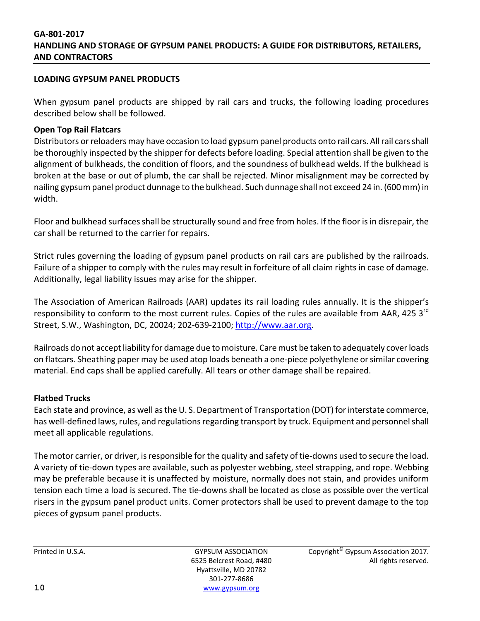#### **LOADING GYPSUM PANEL PRODUCTS**

When gypsum panel products are shipped by rail cars and trucks, the following loading procedures described below shall be followed.

### **Open Top Rail Flatcars**

Distributors or reloaders may have occasion to load gypsum panel products onto rail cars. All rail cars shall be thoroughly inspected by the shipper for defects before loading. Special attention shall be given to the alignment of bulkheads, the condition of floors, and the soundness of bulkhead welds. If the bulkhead is broken at the base or out of plumb, the car shall be rejected. Minor misalignment may be corrected by nailing gypsum panel product dunnage to the bulkhead. Such dunnage shall not exceed 24 in. (600mm) in width.

Floor and bulkhead surfaces shall be structurally sound and free from holes. If the floor is in disrepair, the car shall be returned to the carrier for repairs.

Strict rules governing the loading of gypsum panel products on rail cars are published by the railroads. Failure of a shipper to comply with the rules may result in forfeiture of all claim rights in case of damage. Additionally, legal liability issues may arise for the shipper.

The Association of American Railroads (AAR) updates its rail loading rules annually. It is the shipper's responsibility to conform to the most current rules. Copies of the rules are available from AAR, 425 3<sup>rd</sup> Street, S.W., Washington, DC, 20024; 202‐639‐2100; http://www.aar.org.

Railroads do not accept liability for damage due to moisture. Care must be taken to adequately cover loads on flatcars. Sheathing paper may be used atop loads beneath a one-piece polyethylene or similar covering material. End caps shall be applied carefully. All tears or other damage shall be repaired.

#### **Flatbed Trucks**

Each state and province, as well asthe U. S. Department of Transportation (DOT) forinterstate commerce, has well-defined laws, rules, and regulations regarding transport by truck. Equipment and personnel shall meet all applicable regulations.

The motor carrier, or driver, is responsible for the quality and safety of tie-downs used to secure the load. A variety of tie‐down types are available, such as polyester webbing, steel strapping, and rope. Webbing may be preferable because it is unaffected by moisture, normally does not stain, and provides uniform tension each time a load is secured. The tie‐downs shall be located as close as possible over the vertical risers in the gypsum panel product units. Corner protectors shall be used to prevent damage to the top pieces of gypsum panel products.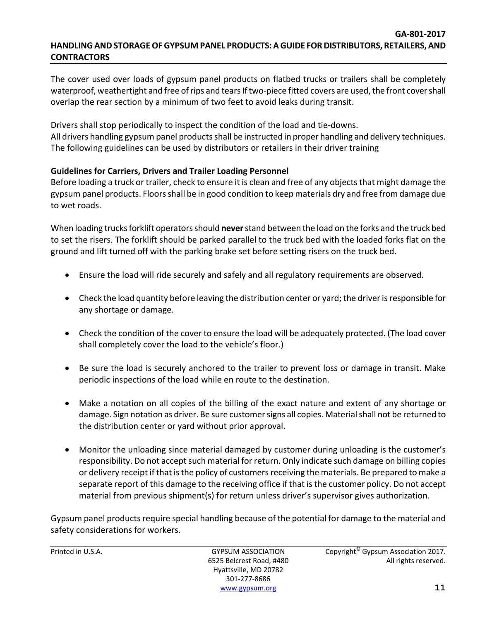The cover used over loads of gypsum panel products on flatbed trucks or trailers shall be completely waterproof, weathertight and free of rips and tears If two-piece fitted covers are used, the front cover shall overlap the rear section by a minimum of two feet to avoid leaks during transit.

Drivers shall stop periodically to inspect the condition of the load and tie‐downs. All drivers handling gypsum panel products shall be instructed in proper handling and delivery techniques. The following guidelines can be used by distributors or retailers in their driver training

# **Guidelines for Carriers, Drivers and Trailer Loading Personnel**

Before loading a truck or trailer, check to ensure it is clean and free of any objects that might damage the gypsum panel products. Floors shall be in good condition to keep materials dry and free from damage due to wet roads.

When loading trucks forklift operators should never stand between the load on the forks and the truck bed to set the risers. The forklift should be parked parallel to the truck bed with the loaded forks flat on the ground and lift turned off with the parking brake set before setting risers on the truck bed.

- Ensure the load will ride securely and safely and all regulatory requirements are observed.
- $\bullet$  Check the load quantity before leaving the distribution center or yard; the driver is responsible for any shortage or damage.
- Check the condition of the cover to ensure the load will be adequately protected. (The load cover shall completely cover the load to the vehicle's floor.)
- Be sure the load is securely anchored to the trailer to prevent loss or damage in transit. Make periodic inspections of the load while en route to the destination.
- Make a notation on all copies of the billing of the exact nature and extent of any shortage or damage. Sign notation as driver. Be sure customer signs all copies. Material shall not be returned to the distribution center or yard without prior approval.
- Monitor the unloading since material damaged by customer during unloading is the customer's responsibility. Do not accept such material for return. Only indicate such damage on billing copies or delivery receipt if that isthe policy of customersreceiving the materials. Be prepared to make a separate report of this damage to the receiving office if that is the customer policy. Do not accept material from previous shipment(s) for return unless driver's supervisor gives authorization.

Gypsum panel products require special handling because of the potential for damage to the material and safety considerations for workers.